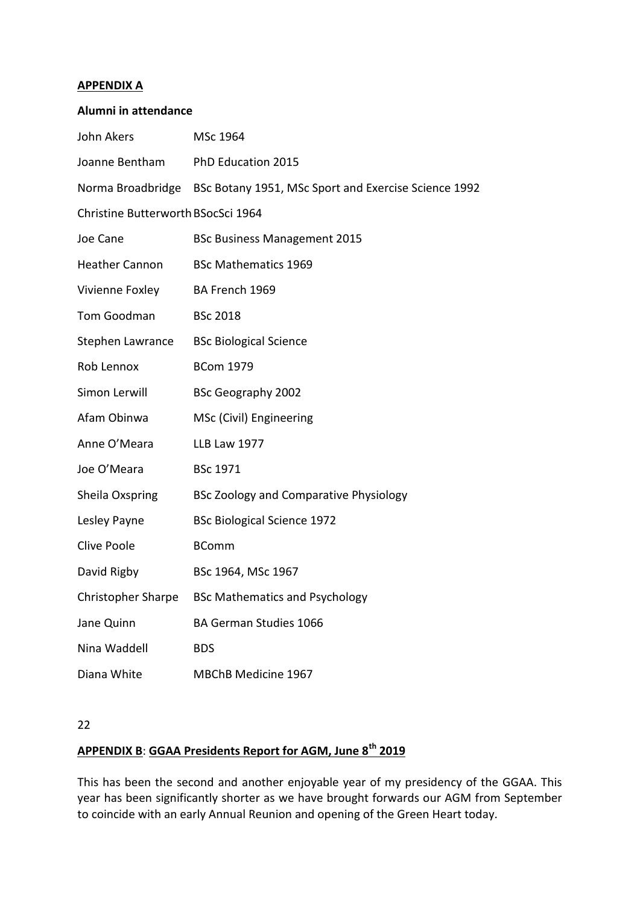## **APPENDIX A**

| <b>Alumni in attendance</b>        |                                                                        |
|------------------------------------|------------------------------------------------------------------------|
| John Akers                         | MSc 1964                                                               |
|                                    | Joanne Bentham PhD Education 2015                                      |
|                                    | Norma Broadbridge BSc Botany 1951, MSc Sport and Exercise Science 1992 |
| Christine Butterworth BSocSci 1964 |                                                                        |
| Joe Cane                           | <b>BSc Business Management 2015</b>                                    |
| Heather Cannon                     | <b>BSc Mathematics 1969</b>                                            |
| Vivienne Foxley                    | BA French 1969                                                         |
| Tom Goodman                        | <b>BSc 2018</b>                                                        |
|                                    | Stephen Lawrance BSc Biological Science                                |
| Rob Lennox                         | <b>BCom 1979</b>                                                       |
| Simon Lerwill                      | <b>BSc Geography 2002</b>                                              |
| Afam Obinwa                        | MSc (Civil) Engineering                                                |
| Anne O'Meara                       | <b>LLB Law 1977</b>                                                    |
| Joe O'Meara                        | <b>BSc 1971</b>                                                        |
| Sheila Oxspring                    | <b>BSc Zoology and Comparative Physiology</b>                          |
| Lesley Payne                       | <b>BSc Biological Science 1972</b>                                     |
| Clive Poole                        | <b>BComm</b>                                                           |
| David Rigby                        | BSc 1964, MSc 1967                                                     |
| Christopher Sharpe                 | <b>BSc Mathematics and Psychology</b>                                  |
| Jane Quinn                         | BA German Studies 1066                                                 |
| Nina Waddell                       | <b>BDS</b>                                                             |
| Diana White                        | MBChB Medicine 1967                                                    |

22

# **APPENDIX B**: **GGAA Presidents Report for AGM, June 8th 2019**

This has been the second and another enjoyable year of my presidency of the GGAA. This year has been significantly shorter as we have brought forwards our AGM from September to coincide with an early Annual Reunion and opening of the Green Heart today.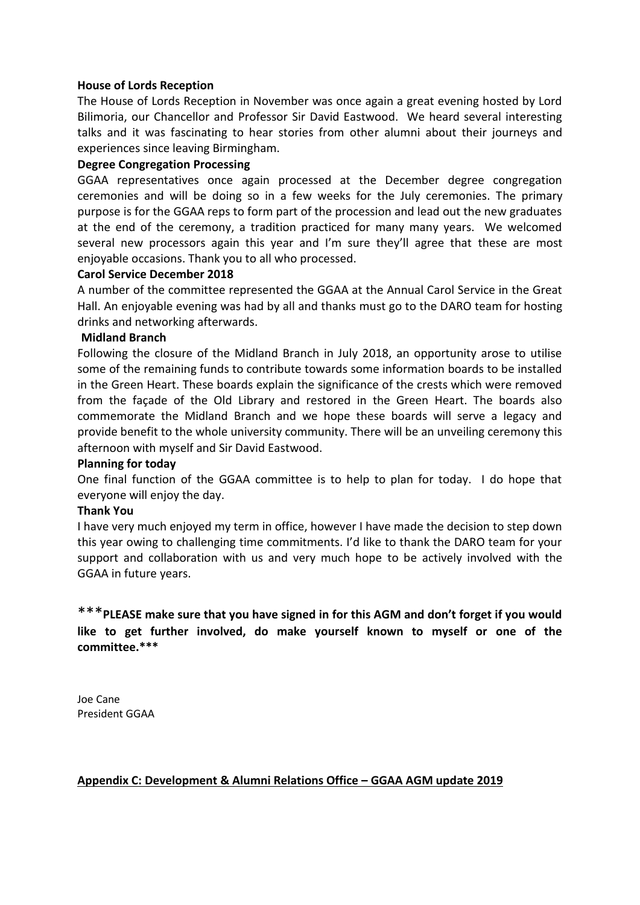## **House of Lords Reception**

The House of Lords Reception in November was once again a great evening hosted by Lord Bilimoria, our Chancellor and Professor Sir David Eastwood. We heard several interesting talks and it was fascinating to hear stories from other alumni about their journeys and experiences since leaving Birmingham.

## **Degree Congregation Processing**

GGAA representatives once again processed at the December degree congregation ceremonies and will be doing so in a few weeks for the July ceremonies. The primary purpose is for the GGAA reps to form part of the procession and lead out the new graduates at the end of the ceremony, a tradition practiced for many many years. We welcomed several new processors again this year and I'm sure they'll agree that these are most enjoyable occasions. Thank you to all who processed.

## **Carol Service December 2018**

A number of the committee represented the GGAA at the Annual Carol Service in the Great Hall. An enjoyable evening was had by all and thanks must go to the DARO team for hosting drinks and networking afterwards.

## **Midland Branch**

Following the closure of the Midland Branch in July 2018, an opportunity arose to utilise some of the remaining funds to contribute towards some information boards to be installed in the Green Heart. These boards explain the significance of the crests which were removed from the façade of the Old Library and restored in the Green Heart. The boards also commemorate the Midland Branch and we hope these boards will serve a legacy and provide benefit to the whole university community. There will be an unveiling ceremony this afternoon with myself and Sir David Eastwood.

## **Planning for today**

One final function of the GGAA committee is to help to plan for today. I do hope that everyone will enjoy the day.

## **Thank You**

I have very much enjoyed my term in office, however I have made the decision to step down this year owing to challenging time commitments. I'd like to thank the DARO team for your support and collaboration with us and very much hope to be actively involved with the GGAA in future years.

\*\*\***PLEASE make sure that you have signed in for this AGM and don't forget if you would like to get further involved, do make yourself known to myself or one of the committee.\*\*\***

Joe Cane President GGAA

## **Appendix C: Development & Alumni Relations Office – GGAA AGM update 2019**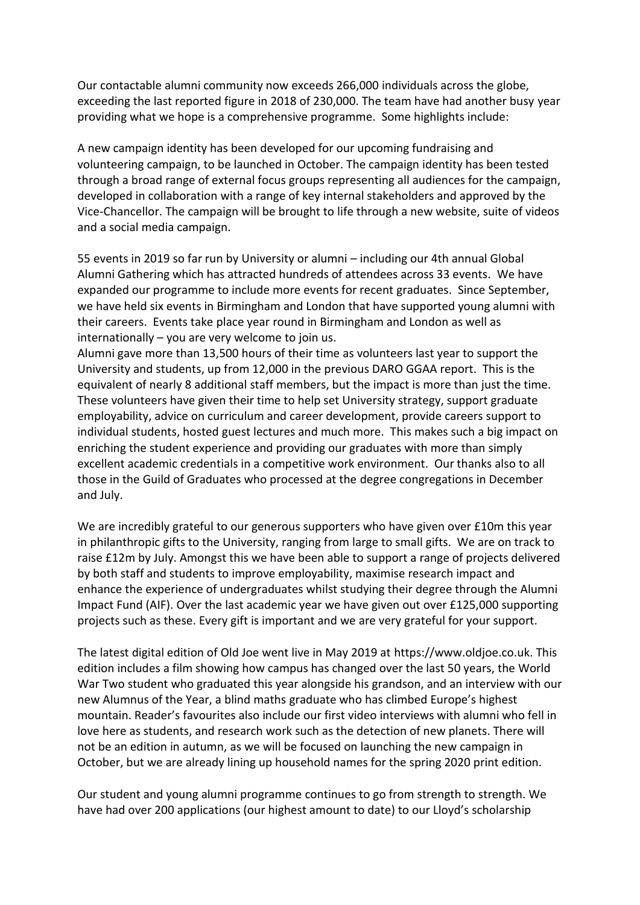Our contactable alumni community now exceeds 266,000 individuals across the globe, exceeding the last reported figure in 2018 of 230,000. The team have had another busy year providing what we hope is a comprehensive programme. Some highlights include:

A new campaign identity has been developed for our upcoming fundraising and volunteering campaign, to be launched in October. The campaign identity has been tested through a broad range of external focus groups representing all audiences for the campaign, developed in collaboration with a range of key internal stakeholders and approved by the Vice-Chancellor. The campaign will be brought to life through a new website, suite of videos and a social media campaign.

55 events in 2019 so far run by University or alumni – including our 4th annual Global Alumni Gathering which has attracted hundreds of attendees across 33 events. We have expanded our programme to include more events for recent graduates. Since September, we have held six events in Birmingham and London that have supported young alumni with their careers. Events take place year round in Birmingham and London as well as internationally – you are very welcome to join us.

Alumni gave more than 13,500 hours of their time as volunteers last year to support the University and students, up from 12,000 in the previous DARO GGAA report. This is the equivalent of nearly 8 additional staff members, but the impact is more than just the time. These volunteers have given their time to help set University strategy, support graduate employability, advice on curriculum and career development, provide careers support to individual students, hosted guest lectures and much more. This makes such a big impact on enriching the student experience and providing our graduates with more than simply excellent academic credentials in a competitive work environment. Our thanks also to all those in the Guild of Graduates who processed at the degree congregations in December and July.

We are incredibly grateful to our generous supporters who have given over £10m this year in philanthropic gifts to the University, ranging from large to small gifts. We are on track to raise £12m by July. Amongst this we have been able to support a range of projects delivered by both staff and students to improve employability, maximise research impact and enhance the experience of undergraduates whilst studying their degree through the Alumni Impact Fund (AIF). Over the last academic year we have given out over £125,000 supporting projects such as these. Every gift is important and we are very grateful for your support.

The latest digital edition of Old Joe went live in May 2019 at [https://www.oldjoe.co.uk.](http://www.oldjoe.co.uk/) This edition includes a film showing how campus has changed over the last 50 years, the World War Two student who graduated this year alongside his grandson, and an interview with our new Alumnus of the Year, a blind maths graduate who has climbed Europe's highest mountain. Reader's favourites also include our first video interviews with alumni who fell in love here as students, and research work such as the detection of new planets. There will not be an edition in autumn, as we will be focused on launching the new campaign in October, but we are already lining up household names for the spring 2020 print edition.

Our student and young alumni programme continues to go from strength to strength. We have had over 200 applications (our highest amount to date) to our Lloyd's scholarship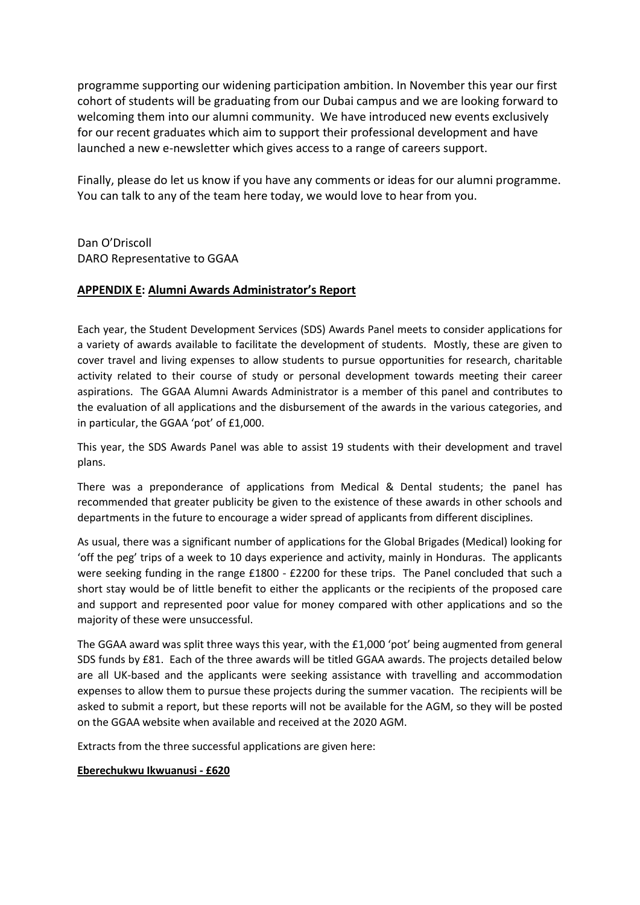programme supporting our widening participation ambition. In November this year our first cohort of students will be graduating from our Dubai campus and we are looking forward to welcoming them into our alumni community. We have introduced new events exclusively for our recent graduates which aim to support their professional development and have launched a new e-newsletter which gives access to a range of careers support.

Finally, please do let us know if you have any comments or ideas for our alumni programme. You can talk to any of the team here today, we would love to hear from you.

Dan O'Driscoll DARO Representative to GGAA

## **APPENDIX E: Alumni Awards Administrator's Report**

Each year, the Student Development Services (SDS) Awards Panel meets to consider applications for a variety of awards available to facilitate the development of students. Mostly, these are given to cover travel and living expenses to allow students to pursue opportunities for research, charitable activity related to their course of study or personal development towards meeting their career aspirations. The GGAA Alumni Awards Administrator is a member of this panel and contributes to the evaluation of all applications and the disbursement of the awards in the various categories, and in particular, the GGAA 'pot' of £1,000.

This year, the SDS Awards Panel was able to assist 19 students with their development and travel plans.

There was a preponderance of applications from Medical & Dental students; the panel has recommended that greater publicity be given to the existence of these awards in other schools and departments in the future to encourage a wider spread of applicants from different disciplines.

As usual, there was a significant number of applications for the Global Brigades (Medical) looking for 'off the peg' trips of a week to 10 days experience and activity, mainly in Honduras. The applicants were seeking funding in the range £1800 - £2200 for these trips. The Panel concluded that such a short stay would be of little benefit to either the applicants or the recipients of the proposed care and support and represented poor value for money compared with other applications and so the majority of these were unsuccessful.

The GGAA award was split three ways this year, with the £1,000 'pot' being augmented from general SDS funds by £81. Each of the three awards will be titled GGAA awards. The projects detailed below are all UK-based and the applicants were seeking assistance with travelling and accommodation expenses to allow them to pursue these projects during the summer vacation. The recipients will be asked to submit a report, but these reports will not be available for the AGM, so they will be posted on the GGAA website when available and received at the 2020 AGM.

Extracts from the three successful applications are given here:

**Eberechukwu Ikwuanusi - £620**